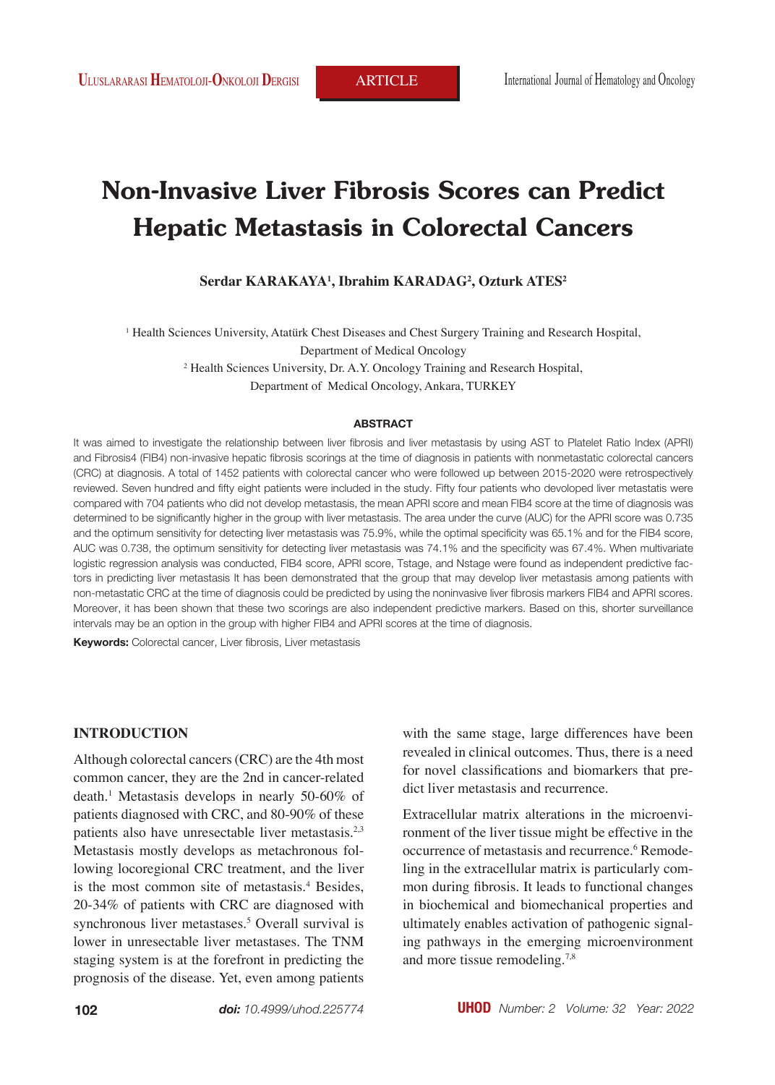# **Non-Invasive Liver Fibrosis Scores can Predict Hepatic Metastasis in Colorectal Cancers**

## **Serdar KARAKAYA1 , Ibrahim KARADAG2 , Ozturk ATES2**

1 Health Sciences University, Atatürk Chest Diseases and Chest Surgery Training and Research Hospital, Department of Medical Oncology 2 Health Sciences University, Dr. A.Y. Oncology Training and Research Hospital, Department of Medical Oncology, Ankara, TURKEY

#### **ABSTRACT**

It was aimed to investigate the relationship between liver fibrosis and liver metastasis by using AST to Platelet Ratio Index (APRI) and Fibrosis4 (FIB4) non-invasive hepatic fibrosis scorings at the time of diagnosis in patients with nonmetastatic colorectal cancers (CRC) at diagnosis. A total of 1452 patients with colorectal cancer who were followed up between 2015-2020 were retrospectively reviewed. Seven hundred and fifty eight patients were included in the study. Fifty four patients who devoloped liver metastatis were compared with 704 patients who did not develop metastasis, the mean APRI score and mean FIB4 score at the time of diagnosis was determined to be significantly higher in the group with liver metastasis. The area under the curve (AUC) for the APRI score was 0.735 and the optimum sensitivity for detecting liver metastasis was 75.9%, while the optimal specificity was 65.1% and for the FIB4 score, AUC was 0.738, the optimum sensitivity for detecting liver metastasis was 74.1% and the specificity was 67.4%. When multivariate logistic regression analysis was conducted, FIB4 score, APRI score, Tstage, and Nstage were found as independent predictive factors in predicting liver metastasis It has been demonstrated that the group that may develop liver metastasis among patients with non-metastatic CRC at the time of diagnosis could be predicted by using the noninvasive liver fibrosis markers FIB4 and APRI scores. Moreover, it has been shown that these two scorings are also independent predictive markers. Based on this, shorter surveillance intervals may be an option in the group with higher FIB4 and APRI scores at the time of diagnosis.

**Keywords:** Colorectal cancer, Liver fibrosis, Liver metastasis

# **INTRODUCTION**

Although colorectal cancers (CRC) are the 4th most common cancer, they are the 2nd in cancer-related death.1 Metastasis develops in nearly 50-60% of patients diagnosed with CRC, and 80-90% of these patients also have unresectable liver metastasis.2,3 Metastasis mostly develops as metachronous following locoregional CRC treatment, and the liver is the most common site of metastasis.<sup>4</sup> Besides, 20-34% of patients with CRC are diagnosed with synchronous liver metastases.<sup>5</sup> Overall survival is lower in unresectable liver metastases. The TNM staging system is at the forefront in predicting the prognosis of the disease. Yet, even among patients

with the same stage, large differences have been revealed in clinical outcomes. Thus, there is a need for novel classifications and biomarkers that predict liver metastasis and recurrence.

Extracellular matrix alterations in the microenvironment of the liver tissue might be effective in the occurrence of metastasis and recurrence.<sup>6</sup> Remodeling in the extracellular matrix is particularly common during fibrosis. It leads to functional changes in biochemical and biomechanical properties and ultimately enables activation of pathogenic signaling pathways in the emerging microenvironment and more tissue remodeling.<sup>7,8</sup>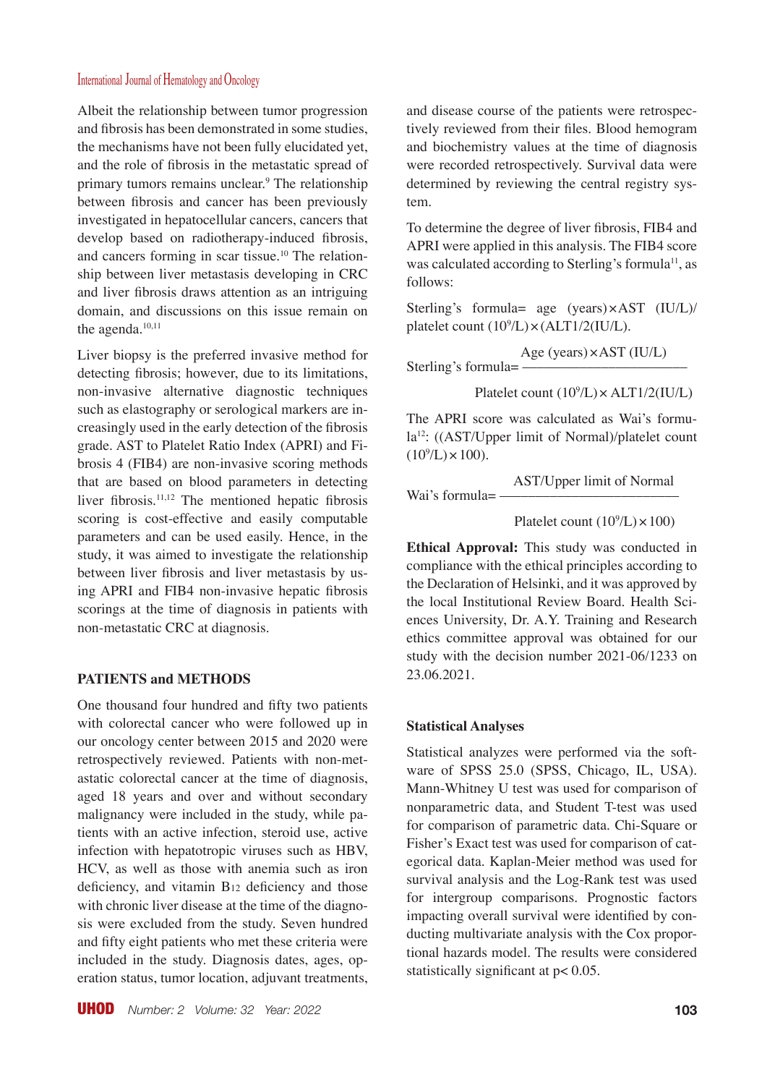## International Journal of Hematology and Oncology

Albeit the relationship between tumor progression and fibrosis has been demonstrated in some studies, the mechanisms have not been fully elucidated yet, and the role of fibrosis in the metastatic spread of primary tumors remains unclear.9 The relationship between fibrosis and cancer has been previously investigated in hepatocellular cancers, cancers that develop based on radiotherapy-induced fibrosis, and cancers forming in scar tissue.<sup>10</sup> The relationship between liver metastasis developing in CRC and liver fibrosis draws attention as an intriguing domain, and discussions on this issue remain on the agenda.<sup>10,11</sup>

Liver biopsy is the preferred invasive method for detecting fibrosis; however, due to its limitations, non-invasive alternative diagnostic techniques such as elastography or serological markers are increasingly used in the early detection of the fibrosis grade. AST to Platelet Ratio Index (APRI) and Fibrosis 4 (FIB4) are non-invasive scoring methods that are based on blood parameters in detecting liver fibrosis.<sup>11,12</sup> The mentioned hepatic fibrosis scoring is cost-effective and easily computable parameters and can be used easily. Hence, in the study, it was aimed to investigate the relationship between liver fibrosis and liver metastasis by using APRI and FIB4 non-invasive hepatic fibrosis scorings at the time of diagnosis in patients with non-metastatic CRC at diagnosis.

#### **PATIENTS and METHODS**

One thousand four hundred and fifty two patients with colorectal cancer who were followed up in our oncology center between 2015 and 2020 were retrospectively reviewed. Patients with non-metastatic colorectal cancer at the time of diagnosis, aged 18 years and over and without secondary malignancy were included in the study, while patients with an active infection, steroid use, active infection with hepatotropic viruses such as HBV, HCV, as well as those with anemia such as iron deficiency, and vitamin B12 deficiency and those with chronic liver disease at the time of the diagnosis were excluded from the study. Seven hundred and fifty eight patients who met these criteria were included in the study. Diagnosis dates, ages, operation status, tumor location, adjuvant treatments, and disease course of the patients were retrospectively reviewed from their files. Blood hemogram and biochemistry values at the time of diagnosis were recorded retrospectively. Survival data were determined by reviewing the central registry system.

To determine the degree of liver fibrosis, FIB4 and APRI were applied in this analysis. The FIB4 score was calculated according to Sterling's formula<sup>11</sup>, as follows:

Sterling's formula= age (years)×AST (IU/L)/ platelet count  $(10^9/L) \times (ALT1/2(IU/L)).$ 

 Age (years)×AST (IU/L) Sterling's formula= –––––––––––––––––––––––

Platelet count  $(10<sup>9</sup>/L) \times ALT1/2(IU/L)$ 

The APRI score was calculated as Wai's formula12: ((AST/Upper limit of Normal)/platelet count  $(10^9$ /L)  $\times$  100).

 AST/Upper limit of Normal Wai's formula=

Platelet count  $(10^9/L) \times 100$ 

**Ethical Approval:** This study was conducted in compliance with the ethical principles according to the Declaration of Helsinki, and it was approved by the local Institutional Review Board. Health Sciences University, Dr. A.Y. Training and Research ethics committee approval was obtained for our study with the decision number 2021-06/1233 on 23.06.2021.

#### **Statistical Analyses**

Statistical analyzes were performed via the software of SPSS 25.0 (SPSS, Chicago, IL, USA). Mann-Whitney U test was used for comparison of nonparametric data, and Student T-test was used for comparison of parametric data. Chi-Square or Fisher's Exact test was used for comparison of categorical data. Kaplan-Meier method was used for survival analysis and the Log-Rank test was used for intergroup comparisons. Prognostic factors impacting overall survival were identified by conducting multivariate analysis with the Cox proportional hazards model. The results were considered statistically significant at p< 0.05.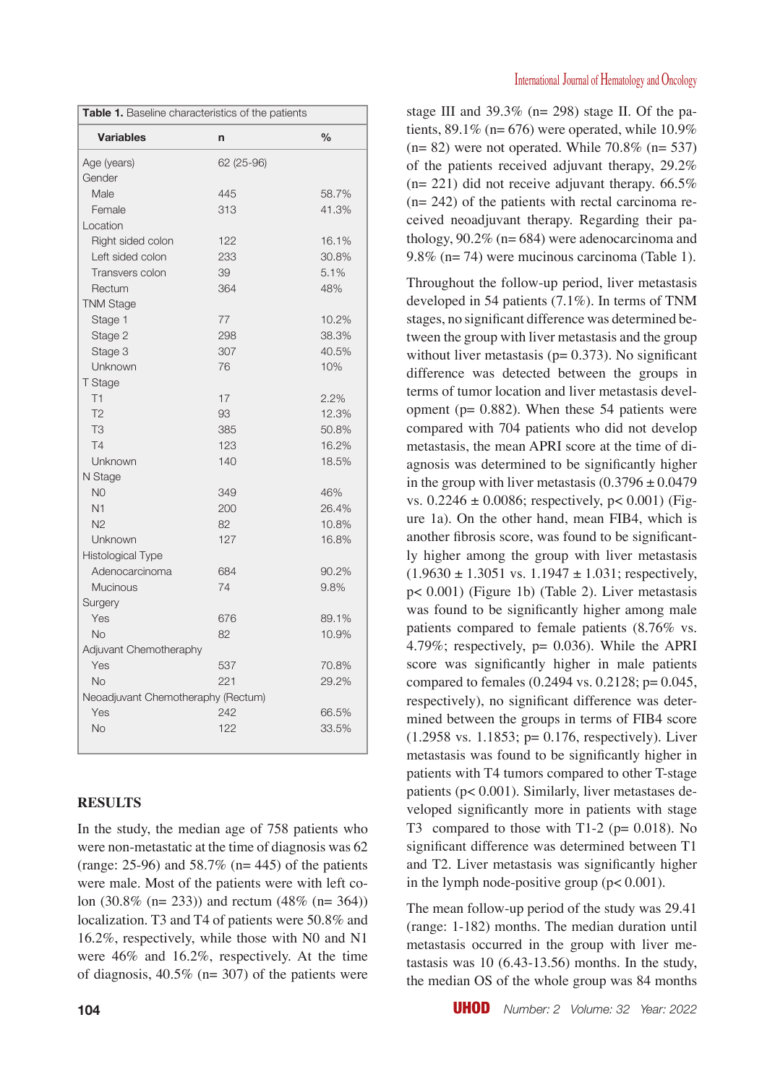| Table 1. Baseline characteristics of the patients |            |               |  |  |  |
|---------------------------------------------------|------------|---------------|--|--|--|
| <b>Variables</b>                                  | n          | $\frac{0}{0}$ |  |  |  |
| Age (years)                                       | 62 (25-96) |               |  |  |  |
| Gender                                            |            |               |  |  |  |
| Male                                              | 445        | 58.7%         |  |  |  |
| Female                                            | 313        | 41.3%         |  |  |  |
| Location                                          |            |               |  |  |  |
| Right sided colon                                 | 122        | 16.1%         |  |  |  |
| Left sided colon                                  | 233        | 30.8%         |  |  |  |
| Transvers colon                                   | 39         | 5.1%          |  |  |  |
| Rectum                                            | 364        | 48%           |  |  |  |
| <b>TNM Stage</b>                                  |            |               |  |  |  |
| Stage 1                                           | 77         | 10.2%         |  |  |  |
| Stage 2                                           | 298        | 38.3%         |  |  |  |
| Stage 3                                           | 307        | 40.5%         |  |  |  |
| Unknown                                           | 76         | 10%           |  |  |  |
| T Stage                                           |            |               |  |  |  |
| T1                                                | 17         | 2.2%          |  |  |  |
| T <sub>2</sub>                                    | 93         | 12.3%         |  |  |  |
| T <sub>3</sub>                                    | 385        | 50.8%         |  |  |  |
| <b>T4</b>                                         | 123        | 16.2%         |  |  |  |
| Unknown                                           | 140        | 18.5%         |  |  |  |
| N Stage                                           |            |               |  |  |  |
| N <sub>O</sub>                                    | 349        | 46%           |  |  |  |
| N <sub>1</sub>                                    | 200        | 26.4%         |  |  |  |
| N <sub>2</sub>                                    | 82         | 10.8%         |  |  |  |
| Unknown                                           | 127        | 16.8%         |  |  |  |
| <b>Histological Type</b>                          |            |               |  |  |  |
| Adenocarcinoma                                    | 684        | 90.2%         |  |  |  |
| <b>Mucinous</b>                                   | 74         | 9.8%          |  |  |  |
| Surgery                                           |            |               |  |  |  |
| Yes                                               | 676        | 89.1%         |  |  |  |
| <b>No</b>                                         | 82         | 10.9%         |  |  |  |
| Adjuvant Chemotheraphy                            |            |               |  |  |  |
| Yes                                               | 537        | 70.8%         |  |  |  |
| <b>No</b>                                         | 221        | 29.2%         |  |  |  |
| Neoadjuvant Chemotheraphy (Rectum)                |            |               |  |  |  |
| Yes                                               | 242        | 66.5%         |  |  |  |
| <b>No</b>                                         | 122        | 33.5%         |  |  |  |
|                                                   |            |               |  |  |  |

## **RESULTS**

In the study, the median age of 758 patients who were non-metastatic at the time of diagnosis was 62 (range: 25-96) and 58.7% ( $n= 445$ ) of the patients were male. Most of the patients were with left colon (30.8% (n= 233)) and rectum (48% (n= 364)) localization. T3 and T4 of patients were 50.8% and 16.2%, respectively, while those with N0 and N1 were 46% and 16.2%, respectively. At the time of diagnosis,  $40.5\%$  (n= 307) of the patients were stage III and  $39.3\%$  (n= 298) stage II. Of the patients,  $89.1\%$  (n= 676) were operated, while  $10.9\%$  $(n= 82)$  were not operated. While 70.8%  $(n= 537)$ of the patients received adjuvant therapy, 29.2%  $(n= 221)$  did not receive adjuvant therapy. 66.5%  $(n= 242)$  of the patients with rectal carcinoma received neoadjuvant therapy. Regarding their pathology, 90.2% (n= 684) were adenocarcinoma and 9.8% (n= 74) were mucinous carcinoma (Table 1).

Throughout the follow-up period, liver metastasis developed in 54 patients (7.1%). In terms of TNM stages, no significant difference was determined between the group with liver metastasis and the group without liver metastasis ( $p= 0.373$ ). No significant difference was detected between the groups in terms of tumor location and liver metastasis development ( $p = 0.882$ ). When these 54 patients were compared with 704 patients who did not develop metastasis, the mean APRI score at the time of diagnosis was determined to be significantly higher in the group with liver metastasis  $(0.3796 \pm 0.0479)$ vs.  $0.2246 \pm 0.0086$ ; respectively, p< 0.001) (Figure 1a). On the other hand, mean FIB4, which is another fibrosis score, was found to be significantly higher among the group with liver metastasis  $(1.9630 \pm 1.3051 \text{ vs. } 1.1947 \pm 1.031 \text{; respectively.})$ p< 0.001) (Figure 1b) (Table 2). Liver metastasis was found to be significantly higher among male patients compared to female patients (8.76% vs. 4.79%; respectively, p= 0.036). While the APRI score was significantly higher in male patients compared to females (0.2494 vs. 0.2128; p= 0.045, respectively), no significant difference was determined between the groups in terms of FIB4 score (1.2958 vs. 1.1853; p= 0.176, respectively). Liver metastasis was found to be significantly higher in patients with T4 tumors compared to other T-stage patients (p< 0.001). Similarly, liver metastases developed significantly more in patients with stage T3 compared to those with T1-2 ( $p = 0.018$ ). No significant difference was determined between T1 and T2. Liver metastasis was significantly higher in the lymph node-positive group  $(p< 0.001)$ .

The mean follow-up period of the study was 29.41 (range: 1-182) months. The median duration until metastasis occurred in the group with liver metastasis was 10 (6.43-13.56) months. In the study, the median OS of the whole group was 84 months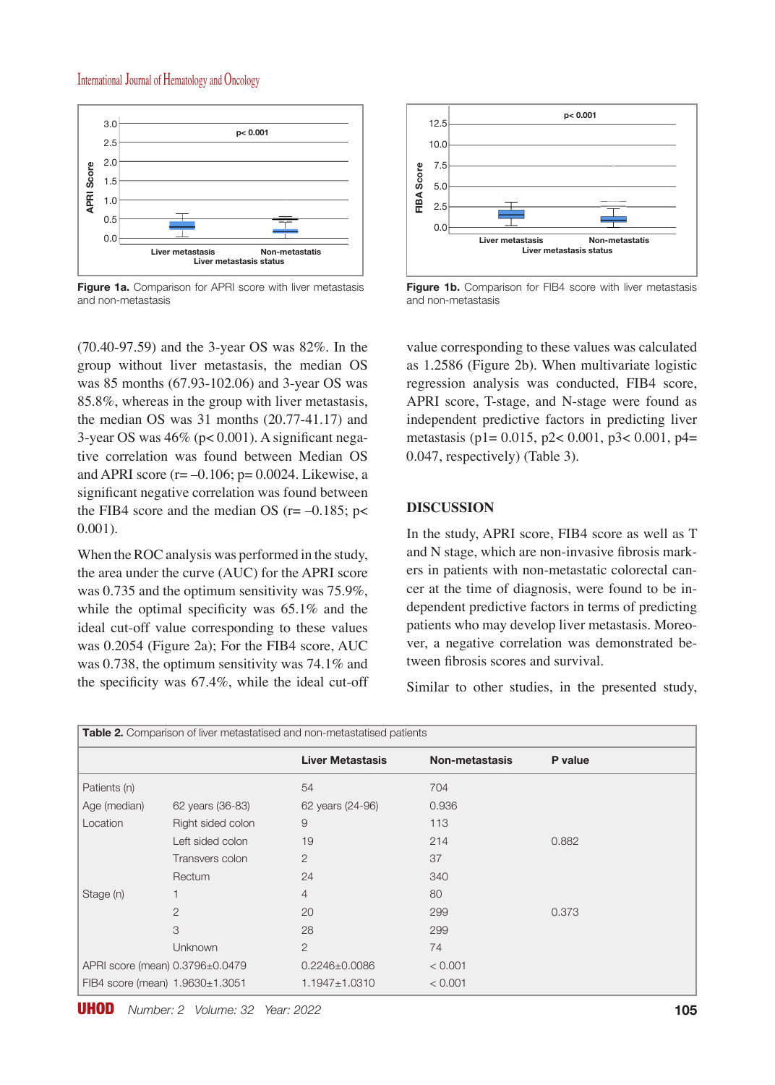## International Journal of Hematology and Oncology



**Figure 1a.** Comparison for APRI score with liver metastasis and non-metastasis

(70.40-97.59) and the 3-year OS was 82%. In the group without liver metastasis, the median OS was 85 months (67.93-102.06) and 3-year OS was 85.8%, whereas in the group with liver metastasis, the median OS was 31 months (20.77-41.17) and 3-year OS was 46% (p< 0.001). A significant negative correlation was found between Median OS and APRI score ( $r = -0.106$ ;  $p = 0.0024$ . Likewise, a significant negative correlation was found between the FIB4 score and the median OS ( $r = -0.185$ ; p< 0.001).

When the ROC analysis was performed in the study, the area under the curve (AUC) for the APRI score was 0.735 and the optimum sensitivity was 75.9%, while the optimal specificity was 65.1% and the ideal cut-off value corresponding to these values was 0.2054 (Figure 2a); For the FIB4 score, AUC was 0.738, the optimum sensitivity was 74.1% and the specificity was 67.4%, while the ideal cut-off



**Figure 1b.** Comparison for FIB4 score with liver metastasis and non-metastasis

value corresponding to these values was calculated as 1.2586 (Figure 2b). When multivariate logistic regression analysis was conducted, FIB4 score, APRI score, T-stage, and N-stage were found as independent predictive factors in predicting liver metastasis (p1= 0.015, p2< 0.001, p3< 0.001, p4= 0.047, respectively) (Table 3).

## **DISCUSSION**

In the study, APRI score, FIB4 score as well as T and N stage, which are non-invasive fibrosis markers in patients with non-metastatic colorectal cancer at the time of diagnosis, were found to be independent predictive factors in terms of predicting patients who may develop liver metastasis. Moreover, a negative correlation was demonstrated between fibrosis scores and survival.

Similar to other studies, in the presented study,

| <b>Table 2.</b> Comparison of liver metastatised and non-metastatised patients |                                       |                         |                |         |  |  |
|--------------------------------------------------------------------------------|---------------------------------------|-------------------------|----------------|---------|--|--|
|                                                                                |                                       | <b>Liver Metastasis</b> | Non-metastasis | P value |  |  |
| Patients (n)                                                                   |                                       | 54                      | 704            |         |  |  |
| Age (median)                                                                   | 62 years (36-83)                      | 62 years (24-96)        | 0.936          |         |  |  |
| Location                                                                       | Right sided colon                     | 9                       | 113            |         |  |  |
|                                                                                | Left sided colon                      | 19                      | 214            | 0.882   |  |  |
|                                                                                | Transvers colon                       | $\overline{2}$          | 37             |         |  |  |
|                                                                                | Rectum                                | 24                      | 340            |         |  |  |
| Stage (n)                                                                      |                                       | 4                       | 80             |         |  |  |
|                                                                                | $\overline{2}$                        | 20                      | 299            | 0.373   |  |  |
|                                                                                | 3                                     | 28                      | 299            |         |  |  |
|                                                                                | Unknown                               | $\overline{2}$          | 74             |         |  |  |
|                                                                                | APRI score (mean) 0.3796±0.0479       | $0.2246 \pm 0.0086$     | < 0.001        |         |  |  |
|                                                                                | FIB4 score (mean) $1.9630 \pm 1.3051$ | $1.1947 \pm 1.0310$     | < 0.001        |         |  |  |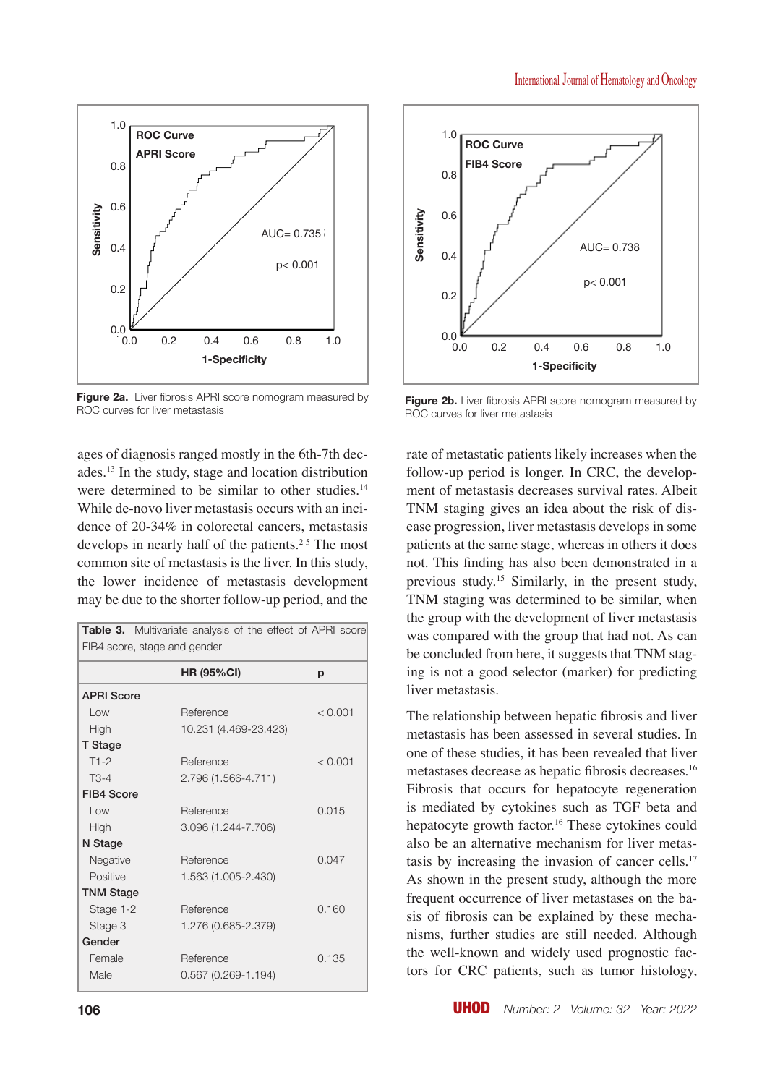

**Figure 2a.** Liver fibrosis APRI score nomogram measured by ROC curves for liver metastasis

ages of diagnosis ranged mostly in the 6th-7th decades.13 In the study, stage and location distribution were determined to be similar to other studies.<sup>14</sup> While de-novo liver metastasis occurs with an incidence of 20-34% in colorectal cancers, metastasis develops in nearly half of the patients.<sup>2-5</sup> The most common site of metastasis is the liver. In this study, the lower incidence of metastasis development may be due to the shorter follow-up period, and the

| <b>Table 3.</b> Multivariate analysis of the effect of APRI score<br>FIB4 score, stage and gender |                       |         |  |  |  |
|---------------------------------------------------------------------------------------------------|-----------------------|---------|--|--|--|
|                                                                                                   |                       |         |  |  |  |
| <b>APRI Score</b>                                                                                 |                       |         |  |  |  |
| Low                                                                                               | Reference             | < 0.001 |  |  |  |
| High                                                                                              | 10.231 (4.469-23.423) |         |  |  |  |
| T Stage                                                                                           |                       |         |  |  |  |
| $T1-2$                                                                                            | Reference             | < 0.001 |  |  |  |
| $T3-4$                                                                                            | 2.796 (1.566-4.711)   |         |  |  |  |
| FIB4 Score                                                                                        |                       |         |  |  |  |
| Low                                                                                               | Reference             | 0.015   |  |  |  |
| High                                                                                              | 3.096 (1.244-7.706)   |         |  |  |  |
| N Stage                                                                                           |                       |         |  |  |  |
| Negative                                                                                          | Reference             | 0.047   |  |  |  |
| Positive                                                                                          | 1.563 (1.005-2.430)   |         |  |  |  |
| <b>TNM Stage</b>                                                                                  |                       |         |  |  |  |
| Stage 1-2                                                                                         | Reference             | 0.160   |  |  |  |
| Stage 3                                                                                           | 1.276 (0.685-2.379)   |         |  |  |  |
| Gender                                                                                            |                       |         |  |  |  |
| Female                                                                                            | Reference             | 0.135   |  |  |  |
| Male                                                                                              | 0.567 (0.269-1.194)   |         |  |  |  |





Figure 2b. Liver fibrosis APRI score nomogram measured by ROC curves for liver metastasis

rate of metastatic patients likely increases when the follow-up period is longer. In CRC, the development of metastasis decreases survival rates. Albeit TNM staging gives an idea about the risk of disease progression, liver metastasis develops in some patients at the same stage, whereas in others it does not. This finding has also been demonstrated in a previous study.15 Similarly, in the present study, TNM staging was determined to be similar, when the group with the development of liver metastasis was compared with the group that had not. As can be concluded from here, it suggests that TNM staging is not a good selector (marker) for predicting liver metastasis.

The relationship between hepatic fibrosis and liver metastasis has been assessed in several studies. In one of these studies, it has been revealed that liver metastases decrease as hepatic fibrosis decreases.<sup>16</sup> Fibrosis that occurs for hepatocyte regeneration is mediated by cytokines such as TGF beta and hepatocyte growth factor.<sup>16</sup> These cytokines could also be an alternative mechanism for liver metastasis by increasing the invasion of cancer cells.17 As shown in the present study, although the more frequent occurrence of liver metastases on the basis of fibrosis can be explained by these mechanisms, further studies are still needed. Although the well-known and widely used prognostic factors for CRC patients, such as tumor histology,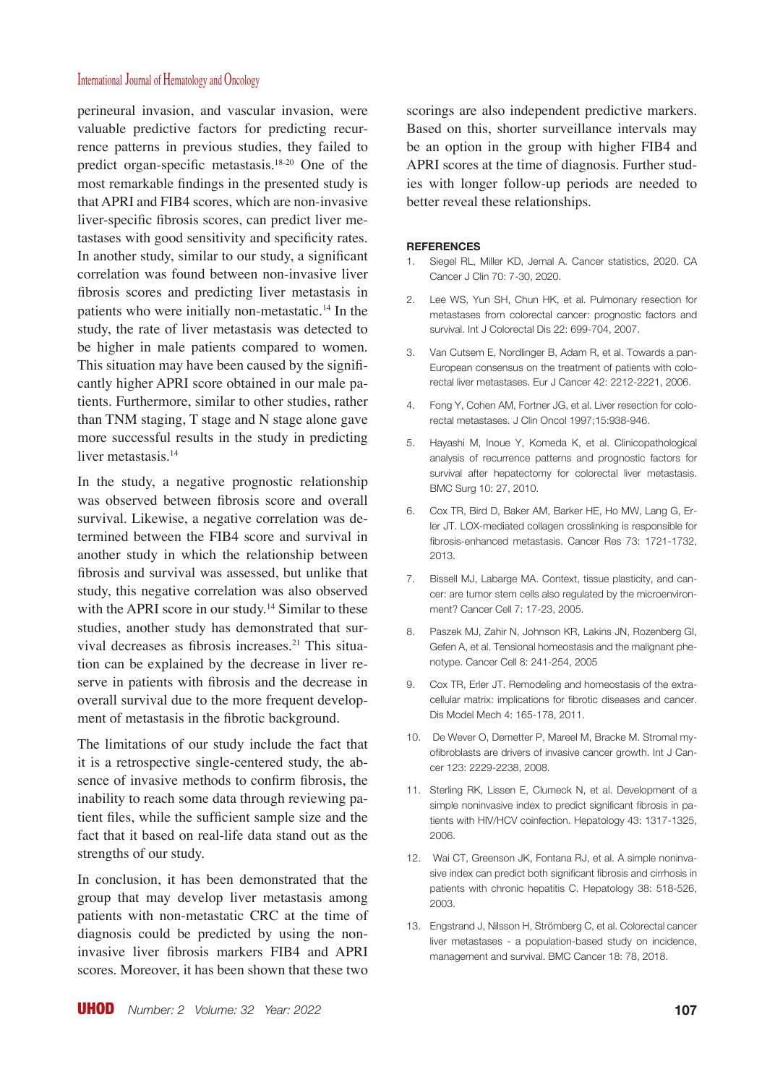## International Journal of Hematology and Oncology

perineural invasion, and vascular invasion, were valuable predictive factors for predicting recurrence patterns in previous studies, they failed to predict organ-specific metastasis.<sup>18-20</sup> One of the most remarkable findings in the presented study is that APRI and FIB4 scores, which are non-invasive liver-specific fibrosis scores, can predict liver metastases with good sensitivity and specificity rates. In another study, similar to our study, a significant correlation was found between non-invasive liver fibrosis scores and predicting liver metastasis in patients who were initially non-metastatic.14 In the study, the rate of liver metastasis was detected to be higher in male patients compared to women. This situation may have been caused by the significantly higher APRI score obtained in our male patients. Furthermore, similar to other studies, rather than TNM staging, T stage and N stage alone gave more successful results in the study in predicting liver metastasis.<sup>14</sup>

In the study, a negative prognostic relationship was observed between fibrosis score and overall survival. Likewise, a negative correlation was determined between the FIB4 score and survival in another study in which the relationship between fibrosis and survival was assessed, but unlike that study, this negative correlation was also observed with the APRI score in our study.<sup>14</sup> Similar to these studies, another study has demonstrated that survival decreases as fibrosis increases.<sup>21</sup> This situation can be explained by the decrease in liver reserve in patients with fibrosis and the decrease in overall survival due to the more frequent development of metastasis in the fibrotic background.

The limitations of our study include the fact that it is a retrospective single-centered study, the absence of invasive methods to confirm fibrosis, the inability to reach some data through reviewing patient files, while the sufficient sample size and the fact that it based on real-life data stand out as the strengths of our study.

In conclusion, it has been demonstrated that the group that may develop liver metastasis among patients with non-metastatic CRC at the time of diagnosis could be predicted by using the noninvasive liver fibrosis markers FIB4 and APRI scores. Moreover, it has been shown that these two

scorings are also independent predictive markers. Based on this, shorter surveillance intervals may be an option in the group with higher FIB4 and APRI scores at the time of diagnosis. Further studies with longer follow-up periods are needed to better reveal these relationships.

#### **REFERENCES**

- 1. Siegel RL, Miller KD, Jemal A. Cancer statistics, 2020. CA Cancer J Clin 70: 7-30, 2020.
- 2. Lee WS, Yun SH, Chun HK, et al. Pulmonary resection for metastases from colorectal cancer: prognostic factors and survival. Int J Colorectal Dis 22: 699-704, 2007.
- 3. Van Cutsem E, Nordlinger B, Adam R, et al. Towards a pan-European consensus on the treatment of patients with colorectal liver metastases. Eur J Cancer 42: 2212-2221, 2006.
- 4. Fong Y, Cohen AM, Fortner JG, et al. Liver resection for colorectal metastases. J Clin Oncol 1997;15:938-946.
- 5. Hayashi M, Inoue Y, Komeda K, et al. Clinicopathological analysis of recurrence patterns and prognostic factors for survival after hepatectomy for colorectal liver metastasis. BMC Surg 10: 27, 2010.
- 6. Cox TR, Bird D, Baker AM, Barker HE, Ho MW, Lang G, Erler JT. LOX-mediated collagen crosslinking is responsible for fibrosis-enhanced metastasis. Cancer Res 73: 1721-1732, 2013.
- 7. Bissell MJ, Labarge MA. Context, tissue plasticity, and cancer: are tumor stem cells also regulated by the microenvironment? Cancer Cell 7: 17-23, 2005.
- 8. Paszek MJ, Zahir N, Johnson KR, Lakins JN, Rozenberg GI, Gefen A, et al. Tensional homeostasis and the malignant phenotype. Cancer Cell 8: 241-254, 2005
- 9. Cox TR, Erler JT. Remodeling and homeostasis of the extracellular matrix: implications for fibrotic diseases and cancer. Dis Model Mech 4: 165-178, 2011.
- 10. De Wever O, Demetter P, Mareel M, Bracke M. Stromal myofibroblasts are drivers of invasive cancer growth. Int J Cancer 123: 2229-2238, 2008.
- 11. Sterling RK, Lissen E, Clumeck N, et al. Development of a simple noninvasive index to predict significant fibrosis in patients with HIV/HCV coinfection. Hepatology 43: 1317-1325, 2006.
- 12. Wai CT, Greenson JK, Fontana RJ, et al. A simple noninvasive index can predict both significant fibrosis and cirrhosis in patients with chronic hepatitis C. Hepatology 38: 518-526, 2003.
- 13. Engstrand J, Nilsson H, Strömberg C, et al. Colorectal cancer liver metastases - a population-based study on incidence, management and survival. BMC Cancer 18: 78, 2018.